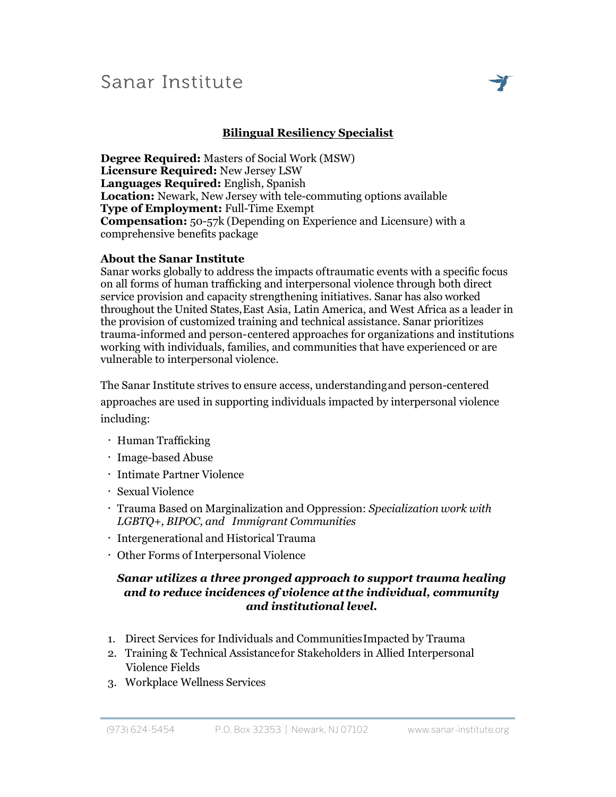# Sanar Institute



## **Bilingual Resiliency Specialist**

**Degree Required:** Masters of Social Work (MSW) **Licensure Required:** New Jersey LSW **Languages Required:** English, Spanish **Location:** Newark, New Jersey with tele-commuting options available **Type of Employment:** Full-Time Exempt **Compensation:** 50-57k (Depending on Experience and Licensure) with a comprehensive benefits package

#### **About the Sanar Institute**

Sanar works globally to address the impacts oftraumatic events with a specific focus on all forms of human trafficking and interpersonal violence through both direct service provision and capacity strengthening initiatives. Sanar has also worked throughout the United States,East Asia, Latin America, and West Africa as a leader in the provision of customized training and technical assistance. Sanar prioritizes trauma-informed and person-centered approaches for organizations and institutions working with individuals, families, and communities that have experienced or are vulnerable to interpersonal violence.

The Sanar Institute strives to ensure access, understandingand person-centered approaches are used in supporting individuals impacted by interpersonal violence including:

- Human Trafficking
- Image-based Abuse
- Intimate Partner Violence
- Sexual Violence
- Trauma Based on Marginalization and Oppression: *Specialization work with LGBTQ+, BIPOC, and Immigrant Communities*
- Intergenerational and Historical Trauma
- Other Forms of Interpersonal Violence

## *Sanar utilizes a three pronged approach to support trauma healing and to reduce incidences of violence at the individual, community and institutional level.*

- 1. Direct Services for Individuals and CommunitiesImpacted by Trauma
- 2. Training & Technical Assistancefor Stakeholders in Allied Interpersonal Violence Fields
- 3. Workplace Wellness Services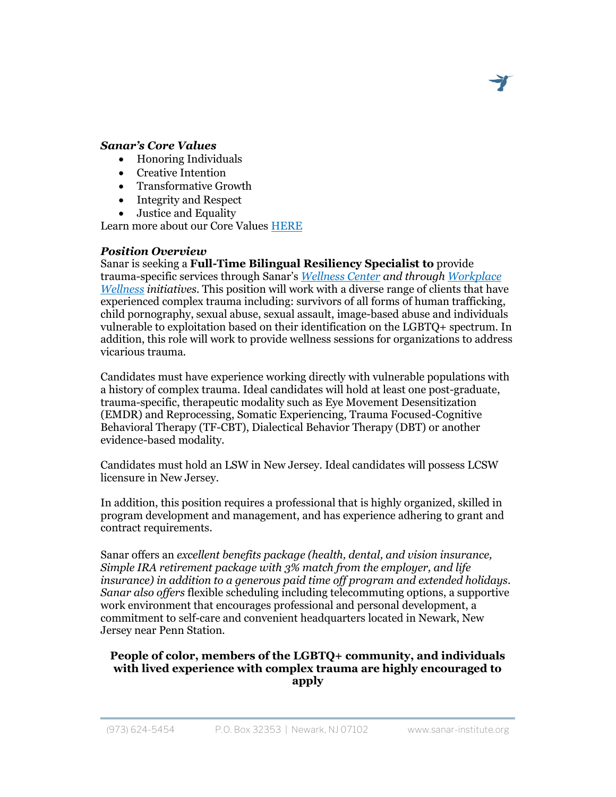#### *Sanar's Core Values*

- Honoring Individuals
- Creative Intention
- Transformative Growth
- Integrity and Respect
- Justice and Equality

Learn more about our Core Values HERE

#### *Position Overview*

Sanar is seeking a **Full-Time Bilingual Resiliency Specialist to** provide trauma-specific services through Sanar's *Wellness Center and through Workplace Wellness initiatives.* This position will work with a diverse range of clients that have experienced complex trauma including: survivors of all forms of human trafficking, child pornography, sexual abuse, sexual assault, image-based abuse and individuals vulnerable to exploitation based on their identification on the LGBTQ+ spectrum. In addition, this role will work to provide wellness sessions for organizations to address vicarious trauma.

Candidates must have experience working directly with vulnerable populations with a history of complex trauma. Ideal candidates will hold at least one post-graduate, trauma-specific, therapeutic modality such as Eye Movement Desensitization (EMDR) and Reprocessing, Somatic Experiencing, Trauma Focused-Cognitive Behavioral Therapy (TF-CBT), Dialectical Behavior Therapy (DBT) or another evidence-based modality.

Candidates must hold an LSW in New Jersey. Ideal candidates will possess LCSW licensure in New Jersey.

In addition, this position requires a professional that is highly organized, skilled in program development and management, and has experience adhering to grant and contract requirements.

Sanar offers an *excellent benefits package (health, dental, and vision insurance, Simple IRA retirement package with 3% match from the employer, and life insurance) in addition to a generous paid time off program and extended holidays. Sanar also offers* flexible scheduling including telecommuting options, a supportive work environment that encourages professional and personal development, a commitment to self-care and convenient headquarters located in Newark, New Jersey near Penn Station.

#### **People of color, members of the LGBTQ+ community, and individuals with lived experience with complex trauma are highly encouraged to apply**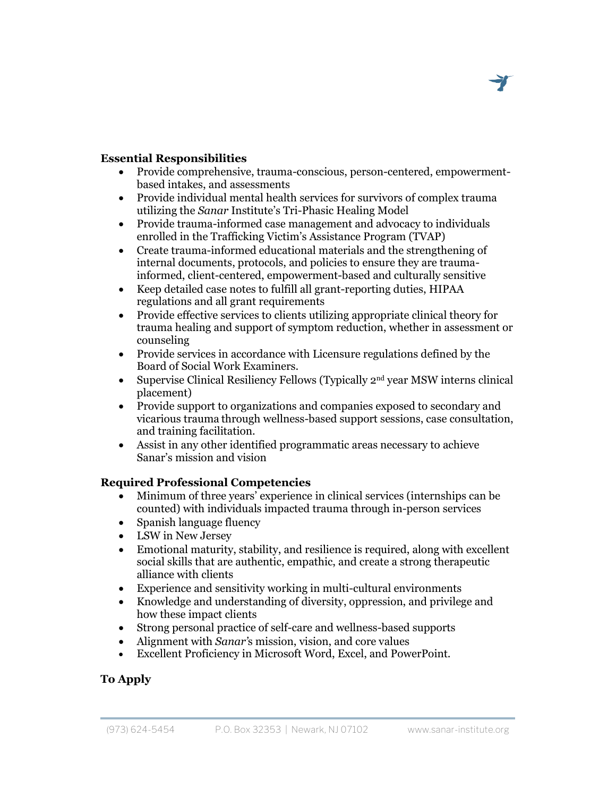## **Essential Responsibilities**

- Provide comprehensive, trauma-conscious, person-centered, empowermentbased intakes, and assessments
- Provide individual mental health services for survivors of complex trauma utilizing the *Sanar* Institute's Tri-Phasic Healing Model
- Provide trauma-informed case management and advocacy to individuals enrolled in the Trafficking Victim's Assistance Program (TVAP)
- Create trauma-informed educational materials and the strengthening of internal documents, protocols, and policies to ensure they are traumainformed, client-centered, empowerment-based and culturally sensitive
- Keep detailed case notes to fulfill all grant-reporting duties, HIPAA regulations and all grant requirements
- Provide effective services to clients utilizing appropriate clinical theory for trauma healing and support of symptom reduction, whether in assessment or counseling
- Provide services in accordance with Licensure regulations defined by the Board of Social Work Examiners.
- Supervise Clinical Resiliency Fellows (Typically  $2<sup>nd</sup>$  year MSW interns clinical placement)
- Provide support to organizations and companies exposed to secondary and vicarious trauma through wellness-based support sessions, case consultation, and training facilitation.
- Assist in any other identified programmatic areas necessary to achieve Sanar's mission and vision

## **Required Professional Competencies**

- Minimum of three years' experience in clinical services (internships can be counted) with individuals impacted trauma through in-person services
- Spanish language fluency
- LSW in New Jersey
- Emotional maturity, stability, and resilience is required, along with excellent social skills that are authentic, empathic, and create a strong therapeutic alliance with clients
- Experience and sensitivity working in multi-cultural environments
- Knowledge and understanding of diversity, oppression, and privilege and how these impact clients
- Strong personal practice of self-care and wellness-based supports
- Alignment with *Sanar'*s mission, vision, and core values
- Excellent Proficiency in Microsoft Word, Excel, and PowerPoint.

## **To Apply**